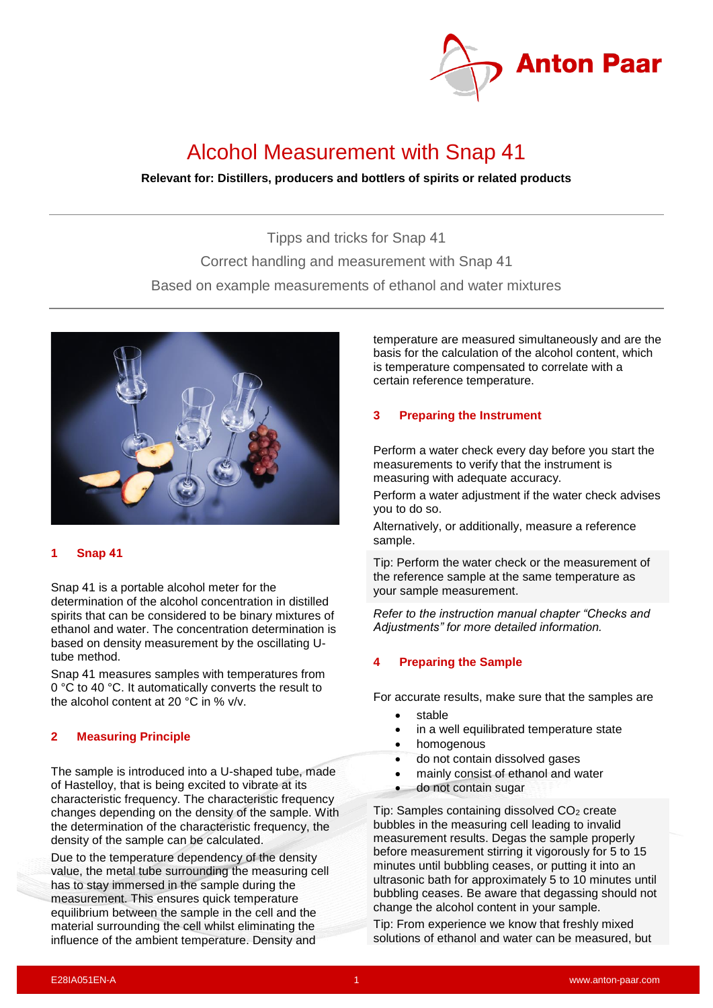

# Alcohol Measurement with Snap 41

## **Relevant for: Distillers, producers and bottlers of spirits or related products**

Tipps and tricks for Snap 41 Correct handling and measurement with Snap 41 Based on example measurements of ethanol and water mixtures



## **1 Snap 41**

Snap 41 is a portable alcohol meter for the determination of the alcohol concentration in distilled spirits that can be considered to be binary mixtures of ethanol and water. The concentration determination is based on density measurement by the oscillating Utube method.

Snap 41 measures samples with temperatures from 0 °C to 40 °C. It automatically converts the result to the alcohol content at 20 °C in % v/v.

## **2 Measuring Principle**

The sample is introduced into a U-shaped tube, made of Hastelloy, that is being excited to vibrate at its characteristic frequency. The characteristic frequency changes depending on the density of the sample. With the determination of the characteristic frequency, the density of the sample can be calculated.

Due to the temperature dependency of the density value, the metal tube surrounding the measuring cell has to stay immersed in the sample during the measurement. This ensures quick temperature equilibrium between the sample in the cell and the material surrounding the cell whilst eliminating the influence of the ambient temperature. Density and

temperature are measured simultaneously and are the basis for the calculation of the alcohol content, which is temperature compensated to correlate with a certain reference temperature.

## **3 Preparing the Instrument**

Perform a water check every day before you start the measurements to verify that the instrument is measuring with adequate accuracy.

Perform a water adjustment if the water check advises you to do so.

Alternatively, or additionally, measure a reference sample.

Tip: Perform the water check or the measurement of the reference sample at the same temperature as your sample measurement.

*Refer to the instruction manual chapter "Checks and Adjustments" for more detailed information.*

## **4 Preparing the Sample**

For accurate results, make sure that the samples are

- **stable**
- in a well equilibrated temperature state
- homogenous
- do not contain dissolved gases
- mainly consist of ethanol and water
- do not contain sugar

Tip: Samples containing dissolved CO<sub>2</sub> create bubbles in the measuring cell leading to invalid measurement results. Degas the sample properly before measurement stirring it vigorously for 5 to 15 minutes until bubbling ceases, or putting it into an ultrasonic bath for approximately 5 to 10 minutes until bubbling ceases. Be aware that degassing should not change the alcohol content in your sample.

Tip: From experience we know that freshly mixed solutions of ethanol and water can be measured, but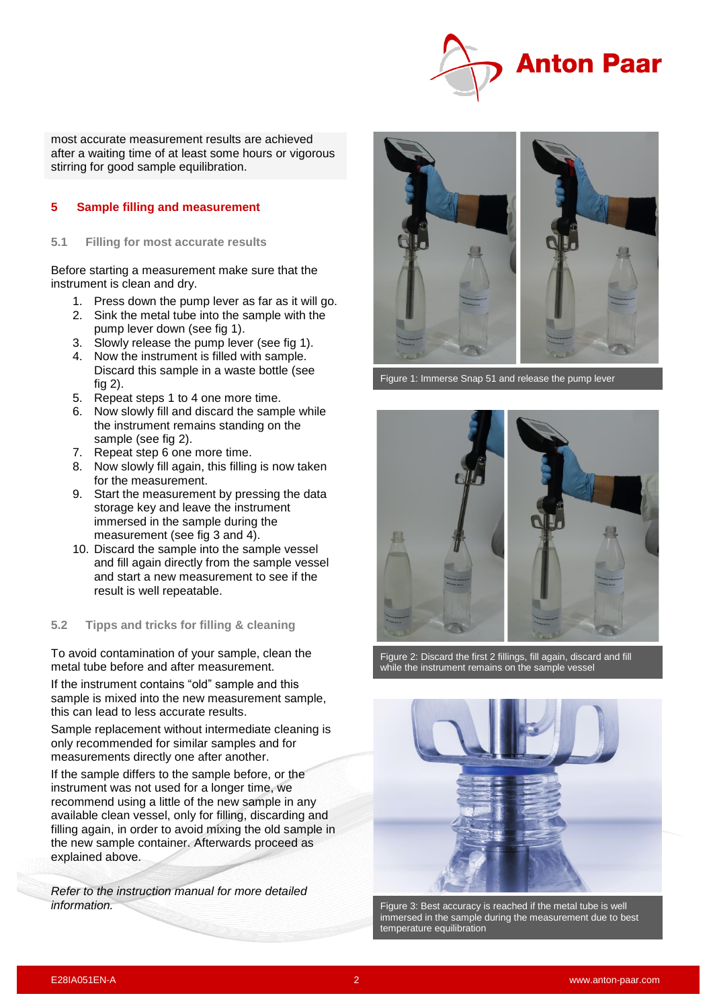

most accurate measurement results are achieved after a waiting time of at least some hours or vigorous stirring for good sample equilibration.

## **5 Sample filling and measurement**

#### **5.1 Filling for most accurate results**

Before starting a measurement make sure that the instrument is clean and dry.

- 1. Press down the pump lever as far as it will go.
- 2. Sink the metal tube into the sample with the pump lever down (see fig 1).
- 3. Slowly release the pump lever (see fig 1).
- 4. Now the instrument is filled with sample. Discard this sample in a waste bottle (see fig 2).
- 5. Repeat steps 1 to 4 one more time.
- 6. Now slowly fill and discard the sample while the instrument remains standing on the sample (see fig 2).
- 7. Repeat step 6 one more time.
- 8. Now slowly fill again, this filling is now taken for the measurement.
- 9. Start the measurement by pressing the data storage key and leave the instrument immersed in the sample during the measurement (see fig 3 and 4).
- 10. Discard the sample into the sample vessel and fill again directly from the sample vessel and start a new measurement to see if the result is well repeatable.

#### **5.2 Tipps and tricks for filling & cleaning**

To avoid contamination of your sample, clean the metal tube before and after measurement.

If the instrument contains "old" sample and this sample is mixed into the new measurement sample, this can lead to less accurate results.

Sample replacement without intermediate cleaning is only recommended for similar samples and for measurements directly one after another.

If the sample differs to the sample before, or the instrument was not used for a longer time, we recommend using a little of the new sample in any available clean vessel, only for filling, discarding and filling again, in order to avoid mixing the old sample in the new sample container. Afterwards proceed as explained above.

*Refer to the instruction manual for more detailed information.*



Figure 1: Immerse Snap 51 and release the pump lever



Figure 2: Discard the first 2 fillings, fill again, discard and fill while the instrument remains on the sample vessel



Figure 3: Best accuracy is reached if the metal tube is well immersed in the sample during the measurement due to best temperature equilibration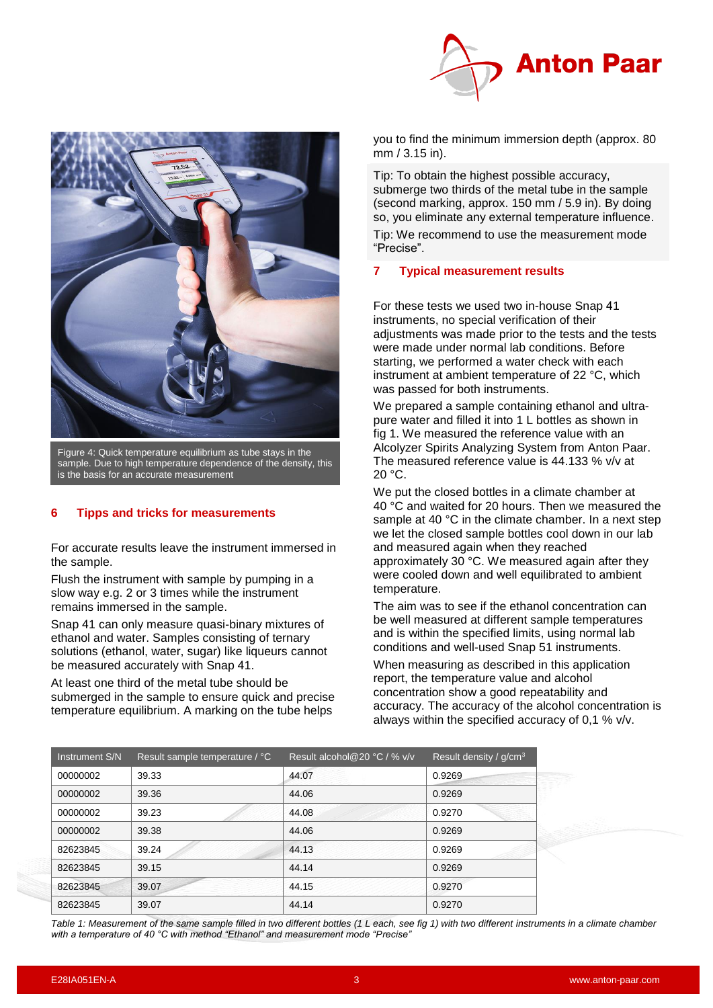



Figure 4: Quick temperature equilibrium as tube stays in the sample. Due to high temperature dependence of the density, this is the basis for an accurate measurement

## **6 Tipps and tricks for measurements**

For accurate results leave the instrument immersed in the sample.

Flush the instrument with sample by pumping in a slow way e.g. 2 or 3 times while the instrument remains immersed in the sample.

Snap 41 can only measure quasi-binary mixtures of ethanol and water. Samples consisting of ternary solutions (ethanol, water, sugar) like liqueurs cannot be measured accurately with Snap 41.

At least one third of the metal tube should be submerged in the sample to ensure quick and precise temperature equilibrium. A marking on the tube helps

you to find the minimum immersion depth (approx. 80 mm / 3.15 in).

Tip: To obtain the highest possible accuracy, submerge two thirds of the metal tube in the sample (second marking, approx. 150 mm / 5.9 in). By doing so, you eliminate any external temperature influence. Tip: We recommend to use the measurement mode "Precise".

## **7 Typical measurement results**

For these tests we used two in-house Snap 41 instruments, no special verification of their adjustments was made prior to the tests and the tests were made under normal lab conditions. Before starting, we performed a water check with each instrument at ambient temperature of 22 °C, which was passed for both instruments.

We prepared a sample containing ethanol and ultrapure water and filled it into 1 L bottles as shown in fig 1. We measured the reference value with an Alcolyzer Spirits Analyzing System from Anton Paar. The measured reference value is 44.133 % v/v at  $20 °C$ .

We put the closed bottles in a climate chamber at 40 °C and waited for 20 hours. Then we measured the sample at 40 °C in the climate chamber. In a next step we let the closed sample bottles cool down in our lab and measured again when they reached approximately 30 °C. We measured again after they were cooled down and well equilibrated to ambient temperature.

The aim was to see if the ethanol concentration can be well measured at different sample temperatures and is within the specified limits, using normal lab conditions and well-used Snap 51 instruments.

When measuring as described in this application report, the temperature value and alcohol concentration show a good repeatability and accuracy. The accuracy of the alcohol concentration is always within the specified accuracy of 0,1 % v/v.

| Instrument S/N | Result sample temperature / °C | Result alcohol@20 °C / % v/v | Result density / g/cm <sup>3</sup> |
|----------------|--------------------------------|------------------------------|------------------------------------|
| 00000002       | 39.33                          | 44.07                        | 0.9269                             |
| 00000002       | 39.36                          | 44.06                        | 0.9269                             |
| 00000002       | 39.23                          | 44.08                        | 0.9270                             |
| 00000002       | 39.38                          | 44.06                        | 0.9269                             |
| 82623845       | 39.24                          | 44.13                        | 0.9269                             |
| 82623845       | 39.15                          | 44.14                        | 0.9269                             |
| 82623845       | 39.07                          | 44.15                        | 0.9270                             |
| 82623845       | 39.07                          | 44.14                        | 0.9270                             |

*Table 1: Measurement of the same sample filled in two different bottles (1 L each, see fig 1) with two different instruments in a climate chamber with a temperature of 40 °C with method "Ethanol" and measurement mode "Precise"*